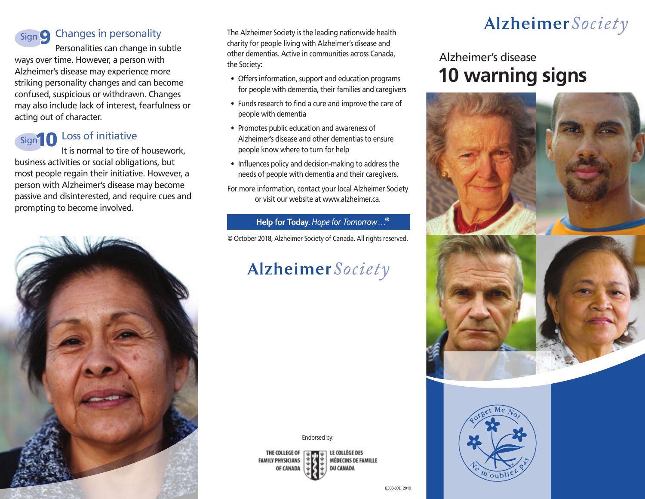# Sign S Changes in personality

Personalities can change in subtle ways over time. However, a person with Alzheimer's disease may experience more striking personality changes and can become confused, suspicious or withdrawn. Changes may also include lack of interest, fearfulness or acting out of character.



### Loss of initiative

It is normal to tire of housework, business activities or social obligations, but most people regain their initiative. However, a person with Alzheimer's disease may become passive and disinterested, and require cues and prompting to become involved.



The Alzheimer Society is the leading nationwide health charity for people living with Alzheimer's disease and other dementias. Active in communities across Canada, the Society:

- Offers information, support and education programs for people with dementia, their families and caregivers
- Funds research to find a cure and improve the care of people with dementia
- Promotes public education and awareness of Alzheimer's disease and other dementias to ensure people know where to turn for help
- Influences policy and decision-making to address the needs of people with dementia and their caregivers.
- For more information, contact your local Alzheimer Society or visit our website at www.alzheimer.ca.

#### Help for Today. Hope for Tomorrow...<sup>®</sup>

© October 2018, Alzheimer Society of Canada. All rights reserved.

# Alzheimer Society

Endorsed by:

THE COLLEGE OF **FAMILY PHYSICIANS** OF CANADA

LE COLLÈGE DES MÉDECINS DE FAMILLE **DU CANADA** 

# Alzheimer Society

## Alzheimer's disease **10 warning signs**